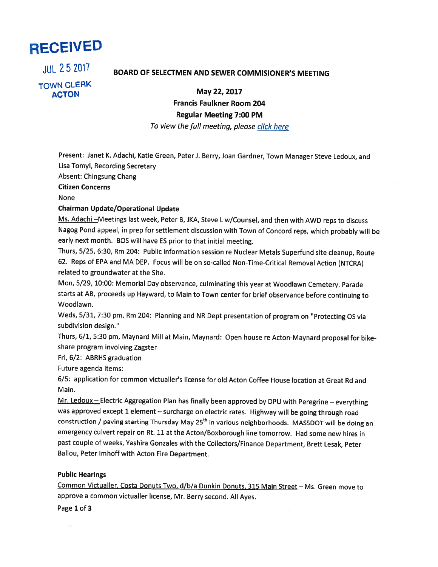

TOWN CLERK ACTON May 22, 2017

# uL <sup>25</sup> ZOl? BOARD OF SELECTMEN AND SEWER COMMISIONER'S MEETING

Francis Faulkner Room 204 Regular Meeting 7:00 PM

To view the full meeting, please click here

Present: Janet K. Adachi, Katie Green, Peter J. Berry, Joan Gardner, Town Manager Steve Ledoux, and Lisa Tomyl, Recording Secretary

Absent: Chingsung Chang

Citizen Concerns

None

### Chairman Update/Operational Update

Ms. Adachi-Meetings last week, Peter B, JKA, Steve L w/Counsel, and then with AWD reps to discuss Nagog Pond appeal, in prep for settlement discussion with Town of Concord reps, which probably will be early next month. BOS will have ES prior to that initial meeting.

Thurs, 5/25, 6:30, Rm 204: Public information session re Nuclear Metals Superfund site cleanup, Route 62. Reps of EPA and MA DEP. Focus will be on so-called Non-Time-Critical Removal Action (NTCRA) related to groundwater at the Site.

Mon, 5/29, 10:00: Memorial Day observance, culminating this year at Woodlawn Cemetery. Parade starts at AB, proceeds up Hayward, to Main to Town center for brief observance before continuing to Woodlawn.

Weds, 5/31, 7:30 pm, Rm 204: Planning and NR Dept presentation of program on "Protecting OS via subdivision design."

Thurs, 6/1, 5:30 pm, Maynard Mill at Main, Maynard: Open house re Acton-Maynard proposal for bikeshare program involving Zagster

Fri, 6/2: ABRHS graduation

Future agenda items:

6/5: application for common victualler's license for old Acton Coffee House location at Great Rd and Main.

Mr. Ledoux — Electric Aggregation Plan has finally been approved by DPU with Peregrine — everything was approved except <sup>1</sup> element — surcharge on electric rates. Highway will be going through road construction / paving starting Thursday May 25<sup>th</sup> in various neighborhoods. MASSDOT will be doing an emergency culvert repair on Rt. <sup>11</sup> at the Acton/Boxborough line tomorrow. Had some new hires in past couple of weeks, Yashira Gonzales with the Collectors/Finance Department, Brett Lesak, Peter Ballou, Peter lmhoff with Acton Fire Department.

### Public Hearings

Common Victualler, Costa Donuts Two, d/b/a Dunkin Donuts, 315 Main Street — Ms. Green move to approve <sup>a</sup> common victualler license, Mr. Berry second. All Ayes.

Page 1 of 3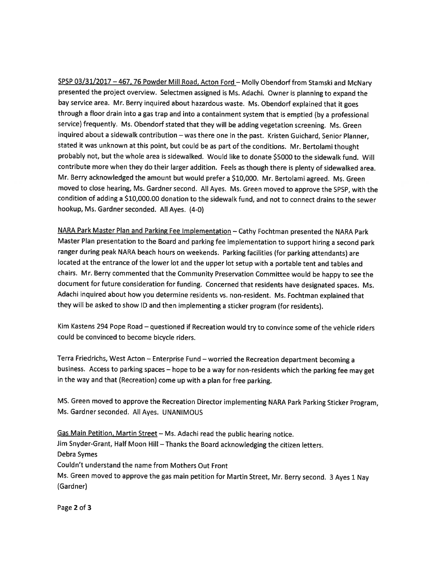SPSP 03/31/2017 - 467, 76 Powder Mill Road, Acton Ford - Molly Obendorf from Stamski and McNary presented the project overview. Selectmen assigned is Ms. Adachi. Owner is <sup>p</sup>lanning to expand the bay service area. Mr. Berry inquired about hazardous waste. Ms. Obendorf explained that it goes through <sup>a</sup> floor drain into <sup>a</sup> gas trap and into <sup>a</sup> containment system that is emptied (by <sup>a</sup> professional service) frequently. Ms. Obendorf stated that they will be adding vegetation screening. Ms. Green inquired about <sup>a</sup> sidewalk contribution —was there one in the past. Kristen Guichard, Senior Planner, stated it was unknown at this point, but could be as part of the conditions. Mr. Bertolami thought probably not, but the whole area is sidewalked. Would like to donate \$5000 to the sidewalk fund. Will contribute more when they do their larger addition. Feels as though there is <sup>p</sup>lenty of sidewalked area. Mr. Berry acknowledged the amount but would prefer <sup>a</sup> \$10,000. Mr. Bertolami agreed. Ms. Green moved to close hearing, Ms. Gardner second. All Ayes. Ms. Green moved to approve the SPSP, with the condition of adding <sup>a</sup> \$10,000.00 donation to the sidewalk fund, and not to connect drains to the sewer hookup, Ms. Gardner seconded. All Ayes. (4-0)

NARA Park Master Plan and Parking Fee Implementation — Cathy Fochtman presented the NARA Park Master Plan presentation to the Board and parking fee implementation to support hiring <sup>a</sup> second par<sup>k</sup> ranger during peak NARA beach hours on weekends. Parking facilities (for parking attendants) are located at the entrance of the lower lot and the upper lot setup with <sup>a</sup> portable tent and tables and chairs. Mr. Berry commented that the Community Preservation Committee would be happy to see the document for future consideration for funding. Concerned that residents have designated spaces. Ms. Adachi inquired about how you determine residents vs. non-resident. Ms. Fochtman explained that they will be asked to show ID and then implementing <sup>a</sup> sticker program (for residents).

Kim Kastens <sup>294</sup> Pope Road — questioned if Recreation would try to convince some of the vehicle riders could be convinced to become bicycle riders.

Terra Friedrichs, West Acton — Enterprise Fund — worried the Recreation department becoming <sup>a</sup> business. Access to parking spaces — hope to be <sup>a</sup> way for non-residents which the parking fee may get in the way and that (Recreation) come up with <sup>a</sup> <sup>p</sup>lan for free parking.

MS. Green moved to approve the Recreation Director implementing NARA Park Parking Sticker Program, Ms. Gardner seconded. All Ayes. UNANIMOUS

Gas Main Petition, Martin Street — Ms. Adachi read the public hearing notice. Jim Snyder-Grant, Half Moon Hill —Thanks the Board acknowledging the citizen letters. Debra Symes Couldn't understand the name from Mothers Out Front Ms. Green moved to approve the gas main petition for Martin Street, Mr. Berry second. <sup>3</sup> Ayes <sup>1</sup> Nay (Gardner)

Page 2 of 3